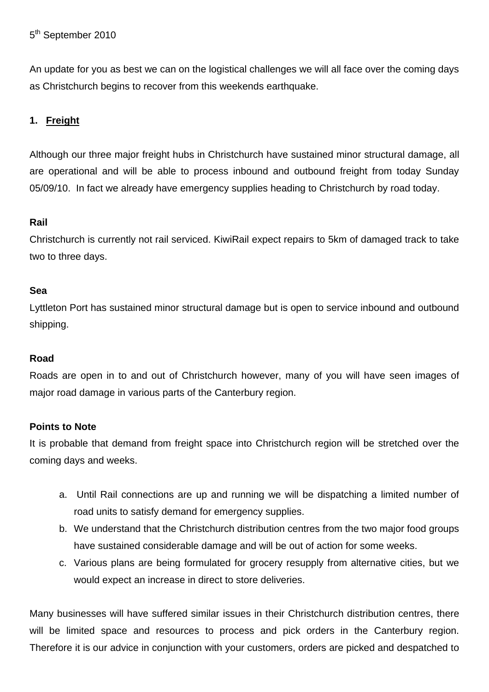An update for you as best we can on the logistical challenges we will all face over the coming days as Christchurch begins to recover from this weekends earthquake.

# **1. Freight**

Although our three major freight hubs in Christchurch have sustained minor structural damage, all are operational and will be able to process inbound and outbound freight from today Sunday 05/09/10. In fact we already have emergency supplies heading to Christchurch by road today.

### **Rail**

Christchurch is currently not rail serviced. KiwiRail expect repairs to 5km of damaged track to take two to three days.

### **Sea**

Lyttleton Port has sustained minor structural damage but is open to service inbound and outbound shipping.

## **Road**

Roads are open in to and out of Christchurch however, many of you will have seen images of major road damage in various parts of the Canterbury region.

## **Points to Note**

It is probable that demand from freight space into Christchurch region will be stretched over the coming days and weeks.

- a. Until Rail connections are up and running we will be dispatching a limited number of road units to satisfy demand for emergency supplies.
- b. We understand that the Christchurch distribution centres from the two major food groups have sustained considerable damage and will be out of action for some weeks.
- c. Various plans are being formulated for grocery resupply from alternative cities, but we would expect an increase in direct to store deliveries.

Many businesses will have suffered similar issues in their Christchurch distribution centres, there will be limited space and resources to process and pick orders in the Canterbury region. Therefore it is our advice in conjunction with your customers, orders are picked and despatched to